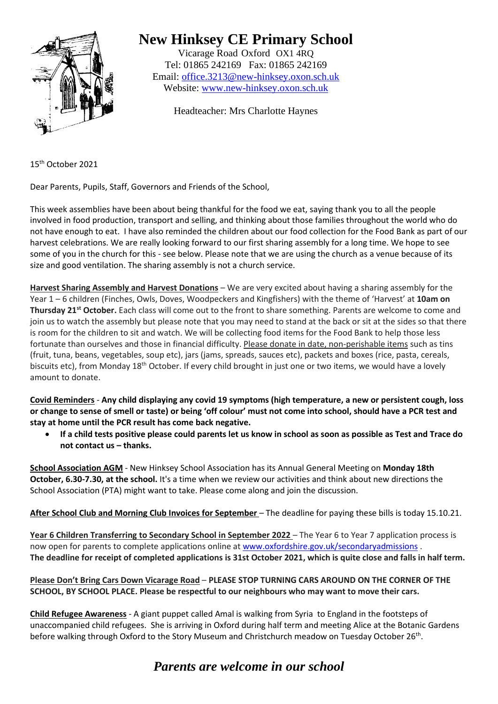

## **New Hinksey CE Primary School**

Vicarage Road Oxford OX1 4RQ Tel: 01865 242169 Fax: 01865 242169 Email: [office.3213@new-hinksey.oxon.sch.uk](mailto:office.3213@new-hinksey.oxon.sch.uk) Website: [www.new-hinksey.oxon.sch.uk](http://www.new-hinksey.oxon.sch.uk/)

Headteacher: Mrs Charlotte Haynes

15th October 2021

Dear Parents, Pupils, Staff, Governors and Friends of the School,

This week assemblies have been about being thankful for the food we eat, saying thank you to all the people involved in food production, transport and selling, and thinking about those families throughout the world who do not have enough to eat. I have also reminded the children about our food collection for the Food Bank as part of our harvest celebrations. We are really looking forward to our first sharing assembly for a long time. We hope to see some of you in the church for this - see below. Please note that we are using the church as a venue because of its size and good ventilation. The sharing assembly is not a church service.

**Harvest Sharing Assembly and Harvest Donations** – We are very excited about having a sharing assembly for the Year 1 – 6 children (Finches, Owls, Doves, Woodpeckers and Kingfishers) with the theme of 'Harvest' at **10am on Thursday 21st October.** Each class will come out to the front to share something. Parents are welcome to come and join us to watch the assembly but please note that you may need to stand at the back or sit at the sides so that there is room for the children to sit and watch. We will be collecting food items for the Food Bank to help those less fortunate than ourselves and those in financial difficulty. Please donate in date, non-perishable items such as tins (fruit, tuna, beans, vegetables, soup etc), jars (jams, spreads, sauces etc), packets and boxes (rice, pasta, cereals, biscuits etc), from Monday 18<sup>th</sup> October. If every child brought in just one or two items, we would have a lovely amount to donate.

**Covid Reminders** - **Any child displaying any covid 19 symptoms (high temperature, a new or persistent cough, loss or change to sense of smell or taste) or being 'off colour' must not come into school, should have a PCR test and stay at home until the PCR result has come back negative.** 

• **If a child tests positive please could parents let us know in school as soon as possible as Test and Trace do not contact us – thanks.**

**School Association AGM** - New Hinksey School Association has its Annual General Meeting on **Monday 18th October, 6.30-7.30, at the school.** It's a time when we review our activities and think about new directions the School Association (PTA) might want to take. Please come along and join the discussion.

**After School Club and Morning Club Invoices for September** – The deadline for paying these bills is today 15.10.21.

Year 6 Children Transferring to Secondary School in September 2022 – The Year 6 to Year 7 application process is now open for parents to complete applications online at [www.oxfordshire.gov.uk/secondaryadmissions](http://www.oxfordshire.gov.uk/secondaryadmissions) . **The deadline for receipt of completed applications is 31st October 2021, which is quite close and falls in half term.**

**Please Don't Bring Cars Down Vicarage Road** – **PLEASE STOP TURNING CARS AROUND ON THE CORNER OF THE SCHOOL, BY SCHOOL PLACE. Please be respectful to our neighbours who may want to move their cars.**

**Child Refugee Awareness** - A giant puppet called Amal is walking from Syria to England in the footsteps of unaccompanied child refugees. She is arriving in Oxford during half term and meeting Alice at the Botanic Gardens before walking through Oxford to the Story Museum and Christchurch meadow on Tuesday October 26<sup>th</sup>.

## *Parents are welcome in our school*